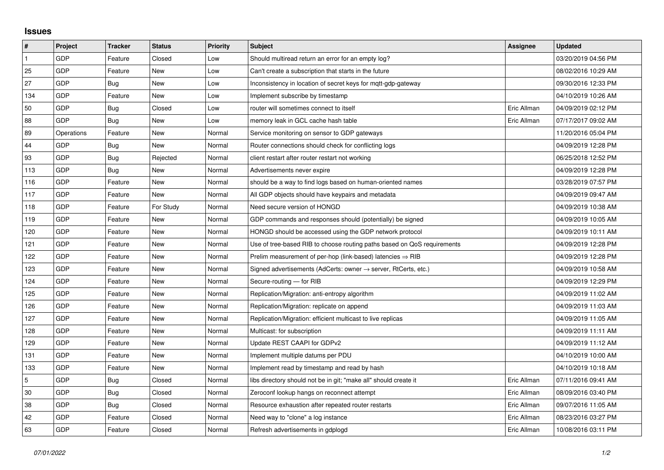## **Issues**

| $\vert$ #    | Project    | <b>Tracker</b> | <b>Status</b> | <b>Priority</b> | <b>Subject</b>                                                             | Assignee    | <b>Updated</b>      |
|--------------|------------|----------------|---------------|-----------------|----------------------------------------------------------------------------|-------------|---------------------|
| $\mathbf{1}$ | GDP        | Feature        | Closed        | Low             | Should multiread return an error for an empty log?                         |             | 03/20/2019 04:56 PM |
| 25           | GDP        | Feature        | New           | Low             | Can't create a subscription that starts in the future                      |             | 08/02/2016 10:29 AM |
| 27           | GDP        | Bug            | New           | Low             | Inconsistency in location of secret keys for mgtt-gdp-gateway              |             | 09/30/2016 12:33 PM |
| 134          | GDP        | Feature        | <b>New</b>    | Low             | Implement subscribe by timestamp                                           |             | 04/10/2019 10:26 AM |
| 50           | GDP        | Bug            | Closed        | Low             | router will sometimes connect to itself                                    | Eric Allman | 04/09/2019 02:12 PM |
| 88           | GDP        | Bug            | New           | Low             | memory leak in GCL cache hash table                                        | Eric Allman | 07/17/2017 09:02 AM |
| 89           | Operations | Feature        | <b>New</b>    | Normal          | Service monitoring on sensor to GDP gateways                               |             | 11/20/2016 05:04 PM |
| 44           | GDP        | Bug            | New           | Normal          | Router connections should check for conflicting logs                       |             | 04/09/2019 12:28 PM |
| 93           | GDP        | <b>Bug</b>     | Rejected      | Normal          | client restart after router restart not working                            |             | 06/25/2018 12:52 PM |
| 113          | GDP        | Bug            | New           | Normal          | Advertisements never expire                                                |             | 04/09/2019 12:28 PM |
| 116          | GDP        | Feature        | New           | Normal          | should be a way to find logs based on human-oriented names                 |             | 03/28/2019 07:57 PM |
| 117          | GDP        | Feature        | New           | Normal          | All GDP objects should have keypairs and metadata                          |             | 04/09/2019 09:47 AM |
| 118          | GDP        | Feature        | For Study     | Normal          | Need secure version of HONGD                                               |             | 04/09/2019 10:38 AM |
| 119          | GDP        | Feature        | New           | Normal          | GDP commands and responses should (potentially) be signed                  |             | 04/09/2019 10:05 AM |
| 120          | GDP        | Feature        | <b>New</b>    | Normal          | HONGD should be accessed using the GDP network protocol                    |             | 04/09/2019 10:11 AM |
| 121          | GDP        | Feature        | New           | Normal          | Use of tree-based RIB to choose routing paths based on QoS requirements    |             | 04/09/2019 12:28 PM |
| 122          | GDP        | Feature        | New           | Normal          | Prelim measurement of per-hop (link-based) latencies $\Rightarrow$ RIB     |             | 04/09/2019 12:28 PM |
| 123          | GDP        | Feature        | New           | Normal          | Signed advertisements (AdCerts: owner $\rightarrow$ server, RtCerts, etc.) |             | 04/09/2019 10:58 AM |
| 124          | GDP        | Feature        | New           | Normal          | Secure-routing - for RIB                                                   |             | 04/09/2019 12:29 PM |
| 125          | GDP        | Feature        | New           | Normal          | Replication/Migration: anti-entropy algorithm                              |             | 04/09/2019 11:02 AM |
| 126          | GDP        | Feature        | New           | Normal          | Replication/Migration: replicate on append                                 |             | 04/09/2019 11:03 AM |
| 127          | GDP        | Feature        | New           | Normal          | Replication/Migration: efficient multicast to live replicas                |             | 04/09/2019 11:05 AM |
| 128          | GDP        | Feature        | New           | Normal          | Multicast: for subscription                                                |             | 04/09/2019 11:11 AM |
| 129          | GDP        | Feature        | New           | Normal          | Update REST CAAPI for GDPv2                                                |             | 04/09/2019 11:12 AM |
| 131          | GDP        | Feature        | New           | Normal          | Implement multiple datums per PDU                                          |             | 04/10/2019 10:00 AM |
| 133          | GDP        | Feature        | New           | Normal          | Implement read by timestamp and read by hash                               |             | 04/10/2019 10:18 AM |
| $\sqrt{5}$   | GDP        | Bug            | Closed        | Normal          | libs directory should not be in git; "make all" should create it           | Eric Allman | 07/11/2016 09:41 AM |
| 30           | GDP        | <b>Bug</b>     | Closed        | Normal          | Zeroconf lookup hangs on reconnect attempt                                 | Eric Allman | 08/09/2016 03:40 PM |
| 38           | GDP        | Bug            | Closed        | Normal          | Resource exhaustion after repeated router restarts                         | Eric Allman | 09/07/2016 11:05 AM |
| 42           | GDP        | Feature        | Closed        | Normal          | Need way to "clone" a log instance                                         | Eric Allman | 08/23/2016 03:27 PM |
| 63           | GDP        | Feature        | Closed        | Normal          | Refresh advertisements in gdplogd                                          | Eric Allman | 10/08/2016 03:11 PM |